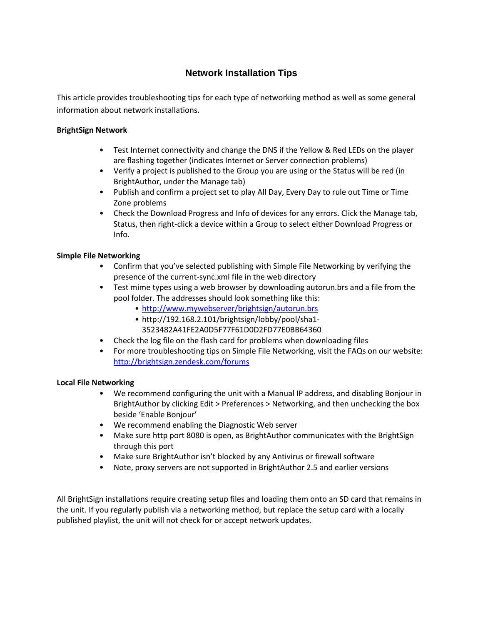## **Network Installation Tips**

This article provides troubleshooting tips for each type of networking method as well as some general information about network installations.

## **BrightSign Network**

- Test Internet connectivity and change the DNS if the Yellow & Red LEDs on the player are flashing together (indicates Internet or Server connection problems)
- Verify a project is published to the Group you are using or the Status will be red (in BrightAuthor, under the Manage tab)
- Publish and confirm a project set to play All Day, Every Day to rule out Time or Time Zone problems
- Check the Download Progress and Info of devices for any errors. Click the Manage tab, Status, then right-click a device within a Group to select either Download Progress or Info.

## **Simple File Networking**

- Confirm that you've selected publishing with Simple File Networking by verifying the presence of the current-sync.xml file in the web directory
- Test mime types using a web browser by downloading autorun.brs and a file from the pool folder. The addresses should look something like this:
	- <http://www.mywebserver/brightsign/autorun.brs>
	- http://192.168.2.101/brightsign/lobby/pool/sha1- 3523482A41FE2A0D5F77F61D0D2FD77E0BB64360
- Check the log file on the flash card for problems when downloading files
- For more troubleshooting tips on Simple File Networking, visit the FAQs on our website: <http://brightsign.zendesk.com/forums>

## **Local File Networking**

- We recommend configuring the unit with a Manual IP address, and disabling Bonjour in BrightAuthor by clicking Edit > Preferences > Networking, and then unchecking the box beside 'Enable Bonjour'
- We recommend enabling the Diagnostic Web server
- Make sure http port 8080 is open, as BrightAuthor communicates with the BrightSign through this port
- Make sure BrightAuthor isn't blocked by any Antivirus or firewall software
- Note, proxy servers are not supported in BrightAuthor 2.5 and earlier versions

All BrightSign installations require creating setup files and loading them onto an SD card that remains in the unit. If you regularly publish via a networking method, but replace the setup card with a locally published playlist, the unit will not check for or accept network updates.